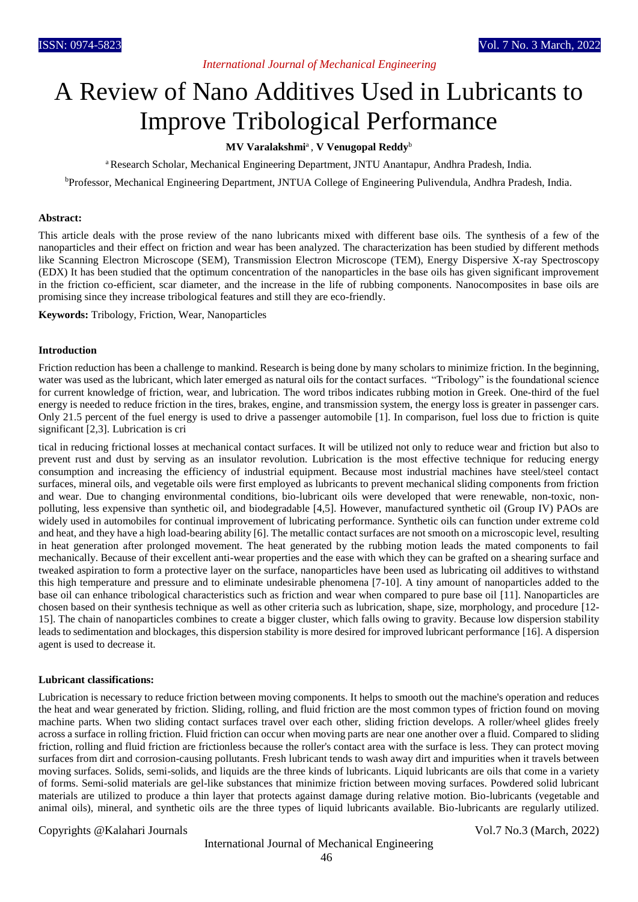### *International Journal of Mechanical Engineering*

# A Review of Nano Additives Used in Lubricants to Improve Tribological Performance

#### **MV Varalakshmi**<sup>a</sup> , **V Venugopal Reddy**<sup>b</sup>

<sup>a</sup> Research Scholar, Mechanical Engineering Department, JNTU Anantapur, Andhra Pradesh, India.

<sup>b</sup>Professor, Mechanical Engineering Department, JNTUA College of Engineering Pulivendula, Andhra Pradesh, India.

#### **Abstract:**

This article deals with the prose review of the nano lubricants mixed with different base oils. The synthesis of a few of the nanoparticles and their effect on friction and wear has been analyzed. The characterization has been studied by different methods like Scanning Electron Microscope (SEM), Transmission Electron Microscope (TEM), Energy Dispersive X-ray Spectroscopy (EDX) It has been studied that the optimum concentration of the nanoparticles in the base oils has given significant improvement in the friction co-efficient, scar diameter, and the increase in the life of rubbing components. Nanocomposites in base oils are promising since they increase tribological features and still they are eco-friendly.

**Keywords:** Tribology, Friction, Wear, Nanoparticles

#### **Introduction**

Friction reduction has been a challenge to mankind. Research is being done by many scholars to minimize friction. In the beginning, water was used as the lubricant, which later emerged as natural oils for the contact surfaces. "Tribology" is the foundational science for current knowledge of friction, wear, and lubrication. The word tribos indicates rubbing motion in Greek. One-third of the fuel energy is needed to reduce friction in the tires, brakes, engine, and transmission system, the energy loss is greater in passenger cars. Only 21.5 percent of the fuel energy is used to drive a passenger automobile [1]. In comparison, fuel loss due to friction is quite significant [2,3]. Lubrication is cri

tical in reducing frictional losses at mechanical contact surfaces. It will be utilized not only to reduce wear and friction but also to prevent rust and dust by serving as an insulator revolution. Lubrication is the most effective technique for reducing energy consumption and increasing the efficiency of industrial equipment. Because most industrial machines have steel/steel contact surfaces, mineral oils, and vegetable oils were first employed as lubricants to prevent mechanical sliding components from friction and wear. Due to changing environmental conditions, bio-lubricant oils were developed that were renewable, non-toxic, nonpolluting, less expensive than synthetic oil, and biodegradable [4,5]. However, manufactured synthetic oil (Group IV) PAOs are widely used in automobiles for continual improvement of lubricating performance. Synthetic oils can function under extreme cold and heat, and they have a high load-bearing ability [6]. The metallic contact surfaces are not smooth on a microscopic level, resulting in heat generation after prolonged movement. The heat generated by the rubbing motion leads the mated components to fail mechanically. Because of their excellent anti-wear properties and the ease with which they can be grafted on a shearing surface and tweaked aspiration to form a protective layer on the surface, nanoparticles have been used as lubricating oil additives to withstand this high temperature and pressure and to eliminate undesirable phenomena [7-10]. A tiny amount of nanoparticles added to the base oil can enhance tribological characteristics such as friction and wear when compared to pure base oil [11]. Nanoparticles are chosen based on their synthesis technique as well as other criteria such as lubrication, shape, size, morphology, and procedure [12- 15]. The chain of nanoparticles combines to create a bigger cluster, which falls owing to gravity. Because low dispersion stability leads to sedimentation and blockages, this dispersion stability is more desired for improved lubricant performance [16]. A dispersion agent is used to decrease it.

#### **Lubricant classifications:**

Lubrication is necessary to reduce friction between moving components. It helps to smooth out the machine's operation and reduces the heat and wear generated by friction. Sliding, rolling, and fluid friction are the most common types of friction found on moving machine parts. When two sliding contact surfaces travel over each other, sliding friction develops. A roller/wheel glides freely across a surface in rolling friction. Fluid friction can occur when moving parts are near one another over a fluid. Compared to sliding friction, rolling and fluid friction are frictionless because the roller's contact area with the surface is less. They can protect moving surfaces from dirt and corrosion-causing pollutants. Fresh lubricant tends to wash away dirt and impurities when it travels between moving surfaces. Solids, semi-solids, and liquids are the three kinds of lubricants. Liquid lubricants are oils that come in a variety of forms. Semi-solid materials are gel-like substances that minimize friction between moving surfaces. Powdered solid lubricant materials are utilized to produce a thin layer that protects against damage during relative motion. Bio-lubricants (vegetable and animal oils), mineral, and synthetic oils are the three types of liquid lubricants available. Bio-lubricants are regularly utilized.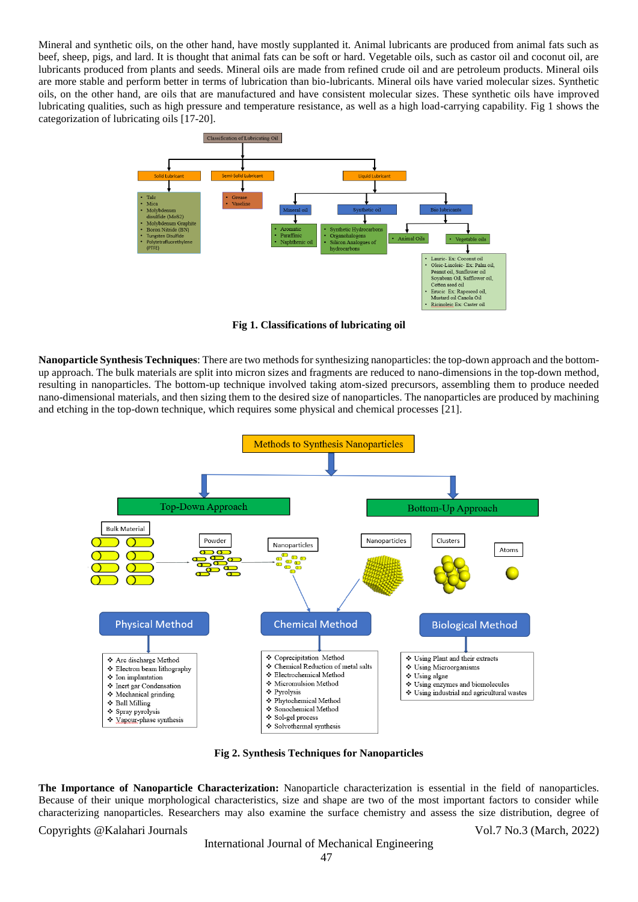Mineral and synthetic oils, on the other hand, have mostly supplanted it. Animal lubricants are produced from animal fats such as beef, sheep, pigs, and lard. It is thought that animal fats can be soft or hard. Vegetable oils, such as castor oil and coconut oil, are lubricants produced from plants and seeds. Mineral oils are made from refined crude oil and are petroleum products. Mineral oils are more stable and perform better in terms of lubrication than bio-lubricants. Mineral oils have varied molecular sizes. Synthetic oils, on the other hand, are oils that are manufactured and have consistent molecular sizes. These synthetic oils have improved lubricating qualities, such as high pressure and temperature resistance, as well as a high load-carrying capability. Fig 1 shows the categorization of lubricating oils [17-20].



**Fig 1. Classifications of lubricating oil**

**Nanoparticle Synthesis Techniques**: There are two methods for synthesizing nanoparticles: the top-down approach and the bottomup approach. The bulk materials are split into micron sizes and fragments are reduced to nano-dimensions in the top-down method, resulting in nanoparticles. The bottom-up technique involved taking atom-sized precursors, assembling them to produce needed nano-dimensional materials, and then sizing them to the desired size of nanoparticles. The nanoparticles are produced by machining and etching in the top-down technique, which requires some physical and chemical processes [21].



**Fig 2. Synthesis Techniques for Nanoparticles**

**The Importance of Nanoparticle Characterization:** Nanoparticle characterization is essential in the field of nanoparticles. Because of their unique morphological characteristics, size and shape are two of the most important factors to consider while characterizing nanoparticles. Researchers may also examine the surface chemistry and assess the size distribution, degree of

Copyrights @Kalahari Journals Vol.7 No.3 (March, 2022)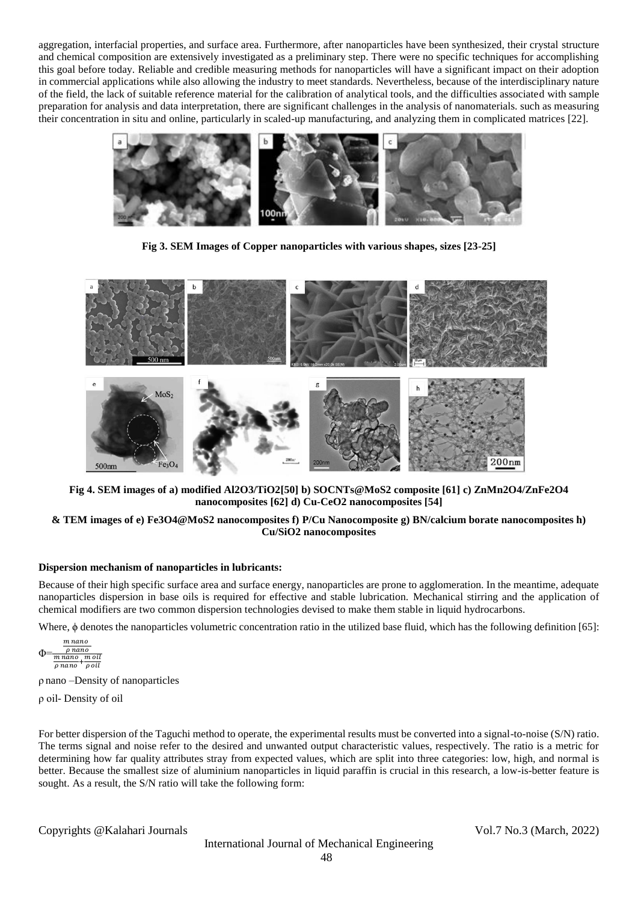aggregation, interfacial properties, and surface area. Furthermore, after nanoparticles have been synthesized, their crystal structure and chemical composition are extensively investigated as a preliminary step. There were no specific techniques for accomplishing this goal before today. Reliable and credible measuring methods for nanoparticles will have a significant impact on their adoption in commercial applications while also allowing the industry to meet standards. Nevertheless, because of the interdisciplinary nature of the field, the lack of suitable reference material for the calibration of analytical tools, and the difficulties associated with sample preparation for analysis and data interpretation, there are significant challenges in the analysis of nanomaterials. such as measuring their concentration in situ and online, particularly in scaled-up manufacturing, and analyzing them in complicated matrices [22].



**Fig 3. SEM Images of Copper nanoparticles with various shapes, sizes [23-25]**



**Fig 4. SEM images of a) modified Al2O3/TiO2[50] b) SOCNTs@MoS2 composite [61] c) ZnMn2O4/ZnFe2O4 nanocomposites [62] d) Cu-CeO2 nanocomposites [54]**

#### **& TEM images of e) Fe3O4@MoS2 nanocomposites f) P/Cu Nanocomposite g) BN/calcium borate nanocomposites h) Cu/SiO2 nanocomposites**

#### **Dispersion mechanism of nanoparticles in lubricants:**

Because of their high specific surface area and surface energy, nanoparticles are prone to agglomeration. In the meantime, adequate nanoparticles dispersion in base oils is required for effective and stable lubrication. Mechanical stirring and the application of chemical modifiers are two common dispersion technologies devised to make them stable in liquid hydrocarbons.

Where, ϕ denotes the nanoparticles volumetric concentration ratio in the utilized base fluid, which has the following definition [65]:

$$
\Phi = \frac{\frac{m \, nano}{\rho \, nano}}{\frac{m \, nano}{\rho \, nano} + \frac{m \, oil}{\rho \, oil}}
$$

ρ nano –Density of nanoparticles

ρ oil- Density of oil

For better dispersion of the Taguchi method to operate, the experimental results must be converted into a signal-to-noise (S/N) ratio. The terms signal and noise refer to the desired and unwanted output characteristic values, respectively. The ratio is a metric for determining how far quality attributes stray from expected values, which are split into three categories: low, high, and normal is better. Because the smallest size of aluminium nanoparticles in liquid paraffin is crucial in this research, a low-is-better feature is sought. As a result, the S/N ratio will take the following form: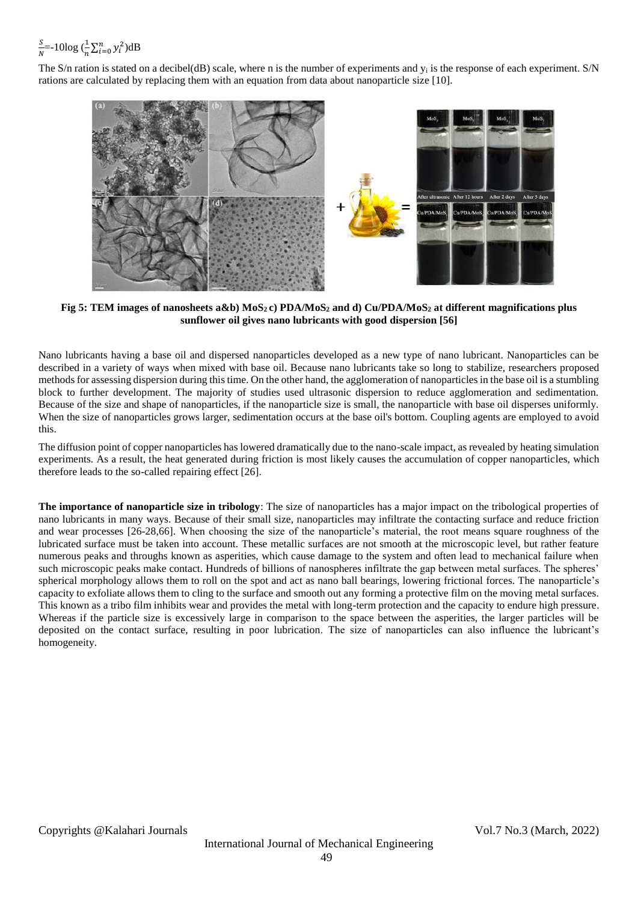#### S  $\frac{S}{N}$ =-10log  $(\frac{1}{n}\sum_{i=0}^{n} y_i^2)dB$

The S/n ration is stated on a decibel(dB) scale, where n is the number of experiments and  $y_i$  is the response of each experiment. S/N rations are calculated by replacing them with an equation from data about nanoparticle size [10].



**Fig 5: TEM images of nanosheets a&b) MoS2 c) PDA/MoS<sup>2</sup> and d) Cu/PDA/MoS<sup>2</sup> at different magnifications plus sunflower oil gives nano lubricants with good dispersion [56]**

Nano lubricants having a base oil and dispersed nanoparticles developed as a new type of nano lubricant. Nanoparticles can be described in a variety of ways when mixed with base oil. Because nano lubricants take so long to stabilize, researchers proposed methods for assessing dispersion during this time. On the other hand, the agglomeration of nanoparticles in the base oil is a stumbling block to further development. The majority of studies used ultrasonic dispersion to reduce agglomeration and sedimentation. Because of the size and shape of nanoparticles, if the nanoparticle size is small, the nanoparticle with base oil disperses uniformly. When the size of nanoparticles grows larger, sedimentation occurs at the base oil's bottom. Coupling agents are employed to avoid this.

The diffusion point of copper nanoparticles has lowered dramatically due to the nano-scale impact, as revealed by heating simulation experiments. As a result, the heat generated during friction is most likely causes the accumulation of copper nanoparticles, which therefore leads to the so-called repairing effect [26].

**The importance of nanoparticle size in tribology**: The size of nanoparticles has a major impact on the tribological properties of nano lubricants in many ways. Because of their small size, nanoparticles may infiltrate the contacting surface and reduce friction and wear processes [26-28,66]. When choosing the size of the nanoparticle's material, the root means square roughness of the lubricated surface must be taken into account. These metallic surfaces are not smooth at the microscopic level, but rather feature numerous peaks and throughs known as asperities, which cause damage to the system and often lead to mechanical failure when such microscopic peaks make contact. Hundreds of billions of nanospheres infiltrate the gap between metal surfaces. The spheres' spherical morphology allows them to roll on the spot and act as nano ball bearings, lowering frictional forces. The nanoparticle's capacity to exfoliate allows them to cling to the surface and smooth out any forming a protective film on the moving metal surfaces. This known as a tribo film inhibits wear and provides the metal with long-term protection and the capacity to endure high pressure. Whereas if the particle size is excessively large in comparison to the space between the asperities, the larger particles will be deposited on the contact surface, resulting in poor lubrication. The size of nanoparticles can also influence the lubricant's homogeneity.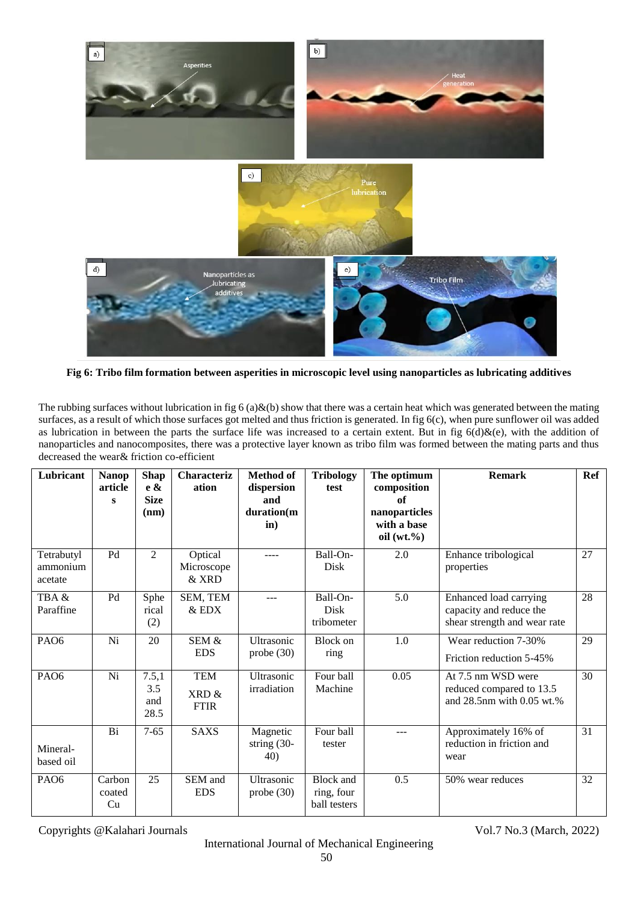

**Fig 6: Tribo film formation between asperities in microscopic level using nanoparticles as lubricating additives**

The rubbing surfaces without lubrication in fig 6 (a)&(b) show that there was a certain heat which was generated between the mating surfaces, as a result of which those surfaces got melted and thus friction is generated. In fig 6(c), when pure sunflower oil was added as lubrication in between the parts the surface life was increased to a certain extent. But in fig  $6(d)$ &(e), with the addition of nanoparticles and nanocomposites, there was a protective layer known as tribo film was formed between the mating parts and thus decreased the wear& friction co-efficient

| Lubricant                         | <b>Nanop</b><br>article<br>s | <b>Shap</b><br>e &<br><b>Size</b><br>(nm) | <b>Characteriz</b><br>ation        | <b>Method of</b><br>dispersion<br>and<br>duration(m<br>$\mathbf{in}$ ) | <b>Tribology</b><br>test                | The optimum<br>composition<br>of<br>nanoparticles<br>with a base<br>oil $(wt. \% )$ | <b>Remark</b>                                                                     | Ref |
|-----------------------------------|------------------------------|-------------------------------------------|------------------------------------|------------------------------------------------------------------------|-----------------------------------------|-------------------------------------------------------------------------------------|-----------------------------------------------------------------------------------|-----|
| Tetrabutyl<br>ammonium<br>acetate | P <sub>d</sub>               | $\mathfrak{D}$                            | Optical<br>Microscope<br>& XRD     | ----                                                                   | Ball-On-<br>Disk                        | 2.0                                                                                 | Enhance tribological<br>properties                                                | 27  |
| TBA&<br>Paraffine                 | P <sub>d</sub>               | Sphe<br>rical<br>(2)                      | SEM, TEM<br>& EDX                  |                                                                        | Ball-On-<br>Disk<br>tribometer          | 5.0                                                                                 | Enhanced load carrying<br>capacity and reduce the<br>shear strength and wear rate | 28  |
| PAO <sub>6</sub>                  | Ni                           | 20                                        | SEM &<br><b>EDS</b>                | Ultrasonic<br>probe $(30)$                                             | <b>Block</b> on<br>ring                 | 1.0                                                                                 | Wear reduction 7-30%<br>Friction reduction 5-45%                                  | 29  |
| PAO <sub>6</sub>                  | Ni                           | 7.5,1<br>3.5<br>and<br>28.5               | <b>TEM</b><br>XRD &<br><b>FTIR</b> | Ultrasonic<br>irradiation                                              | Four ball<br>Machine                    | 0.05                                                                                | At 7.5 nm WSD were<br>reduced compared to 13.5<br>and 28.5nm with 0.05 wt.%       | 30  |
| Mineral-<br>based oil             | Bi                           | $7 - 65$                                  | <b>SAXS</b>                        | Magnetic<br>string $(30-$<br>40)                                       | Four ball<br>tester                     | ---                                                                                 | Approximately 16% of<br>reduction in friction and<br>wear                         | 31  |
| PA <sub>O6</sub>                  | Carbon<br>coated<br>Cu       | 25                                        | SEM and<br><b>EDS</b>              | Ultrasonic<br>probe $(30)$                                             | Block and<br>ring, four<br>ball testers | 0.5                                                                                 | 50% wear reduces                                                                  | 32  |

Copyrights @Kalahari Journals Vol.7 No.3 (March, 2022)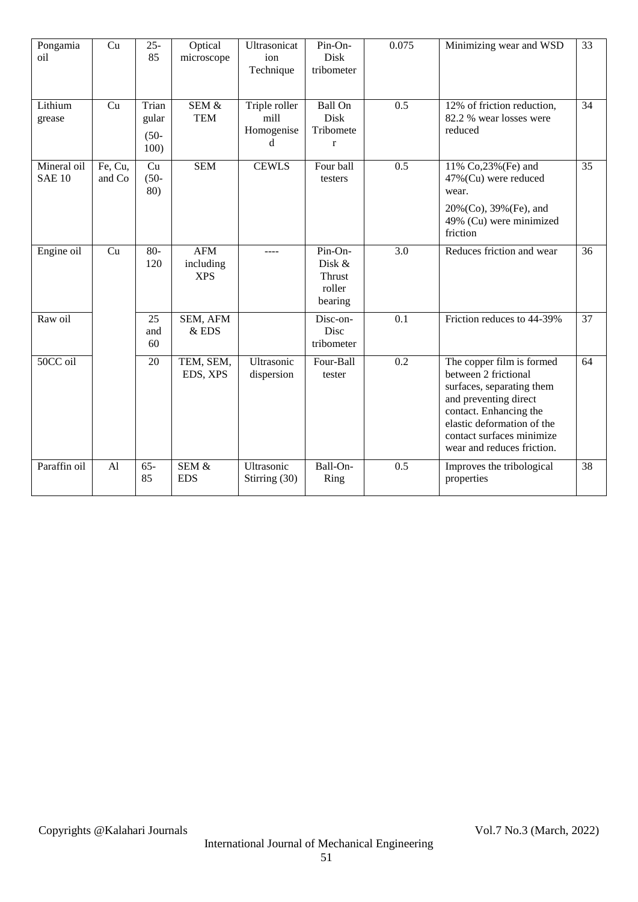| Pongamia<br>oil              | Cu                | $25 -$<br>85                      | Optical<br>microscope                 | Ultrasonicat<br>ion<br>Technique         | Pin-On-<br><b>Disk</b><br>tribometer                       | 0.075            | Minimizing wear and WSD                                                                                                                                                                                                    | 33 |
|------------------------------|-------------------|-----------------------------------|---------------------------------------|------------------------------------------|------------------------------------------------------------|------------------|----------------------------------------------------------------------------------------------------------------------------------------------------------------------------------------------------------------------------|----|
| Lithium<br>grease            | Cu                | Trian<br>gular<br>$(50 -$<br>100) | SEM &<br><b>TEM</b>                   | Triple roller<br>mill<br>Homogenise<br>d | <b>Ball On</b><br><b>Disk</b><br>Tribomete<br>$\mathbf{r}$ | 0.5              | 12% of friction reduction,<br>82.2 % wear losses were<br>reduced                                                                                                                                                           | 34 |
| Mineral oil<br><b>SAE 10</b> | Fe, Cu,<br>and Co | Cu<br>$(50 -$<br>80)              | <b>SEM</b>                            | <b>CEWLS</b>                             | Four ball<br>testers                                       | $\overline{0.5}$ | 11% Co,23% (Fe) and<br>47%(Cu) were reduced<br>wear.<br>20%(Co), 39%(Fe), and<br>49% (Cu) were minimized<br>friction                                                                                                       | 35 |
| Engine oil                   | Cu                | $80 -$<br>120                     | <b>AFM</b><br>including<br><b>XPS</b> | $---$                                    | Pin-On-<br>Disk &<br>Thrust<br>roller<br>bearing           | 3.0              | Reduces friction and wear                                                                                                                                                                                                  | 36 |
| Raw oil                      |                   | 25<br>and<br>60                   | SEM, AFM<br>&EDS                      |                                          | Disc-on-<br>Disc<br>tribometer                             | 0.1              | Friction reduces to 44-39%                                                                                                                                                                                                 | 37 |
| 50CC oil                     |                   | 20                                | TEM, SEM,<br>EDS, XPS                 | Ultrasonic<br>dispersion                 | Four-Ball<br>tester                                        | 0.2              | The copper film is formed<br>between 2 frictional<br>surfaces, separating them<br>and preventing direct<br>contact. Enhancing the<br>elastic deformation of the<br>contact surfaces minimize<br>wear and reduces friction. | 64 |
| Paraffin oil                 | A <sub>1</sub>    | $65 -$<br>85                      | SEM &<br><b>EDS</b>                   | Ultrasonic<br>Stirring (30)              | Ball-On-<br>Ring                                           | 0.5              | Improves the tribological<br>properties                                                                                                                                                                                    | 38 |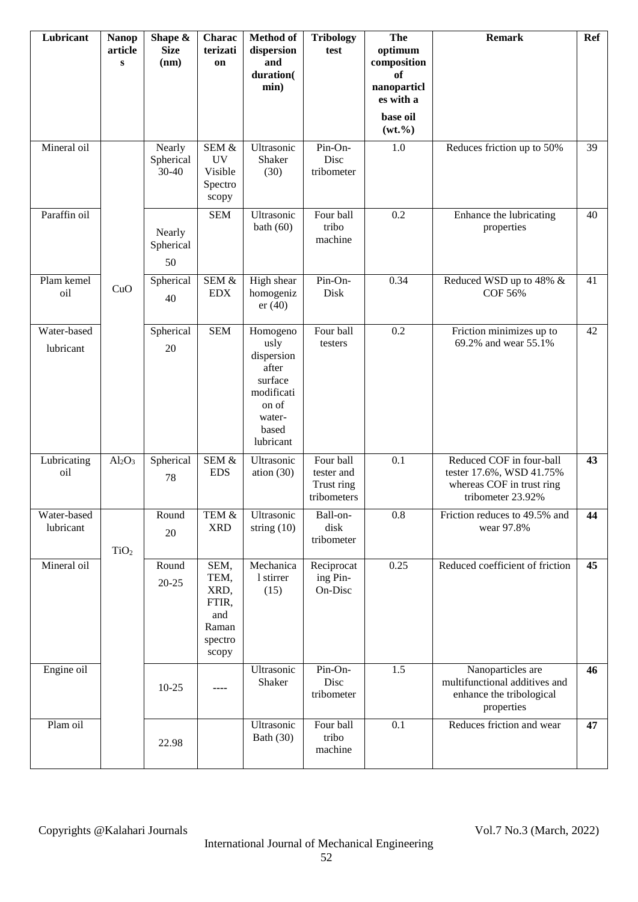| Lubricant                | <b>Nanop</b><br>article<br>$\bf{s}$ | Shape &<br><b>Size</b><br>(nm)   | Charac<br>terizati<br>on                                          | <b>Method</b> of<br>dispersion<br>and<br>duration(<br>min)                                                | <b>Tribology</b><br>test                             | <b>The</b><br>optimum<br>composition<br>of<br>nanoparticl<br>es with a<br>base oil<br>$(wt. \% )$ | <b>Remark</b>                                                                                          | <b>Ref</b> |
|--------------------------|-------------------------------------|----------------------------------|-------------------------------------------------------------------|-----------------------------------------------------------------------------------------------------------|------------------------------------------------------|---------------------------------------------------------------------------------------------------|--------------------------------------------------------------------------------------------------------|------------|
| Mineral oil              |                                     | Nearly<br>Spherical<br>$30 - 40$ | SEM &<br><b>UV</b><br>Visible<br>Spectro<br>scopy                 | Ultrasonic<br>Shaker<br>(30)                                                                              | Pin-On-<br>Disc<br>tribometer                        | $1.0\,$                                                                                           | Reduces friction up to 50%                                                                             | 39         |
| Paraffin oil             |                                     | Nearly<br>Spherical<br>50        | <b>SEM</b>                                                        | Ultrasonic<br>bath $(60)$                                                                                 | Four ball<br>tribo<br>machine                        | 0.2                                                                                               | Enhance the lubricating<br>properties                                                                  | 40         |
| Plam kemel<br>oil        | CuO                                 | Spherical<br>40                  | SEM &<br><b>EDX</b>                                               | High shear<br>homogeniz<br>er(40)                                                                         | Pin-On-<br>Disk                                      | 0.34                                                                                              | Reduced WSD up to 48% &<br>COF 56%                                                                     | 41         |
| Water-based<br>lubricant |                                     | Spherical<br>20                  | <b>SEM</b>                                                        | Homogeno<br>usly<br>dispersion<br>after<br>surface<br>modificati<br>on of<br>water-<br>based<br>lubricant | Four ball<br>testers                                 | 0.2                                                                                               | Friction minimizes up to<br>69.2% and wear 55.1%                                                       | 42         |
| Lubricating<br>oil       | $Al_2O_3$                           | Spherical<br>78                  | SEM &<br><b>EDS</b>                                               | Ultrasonic<br>ation $(30)$                                                                                | Four ball<br>tester and<br>Trust ring<br>tribometers | 0.1                                                                                               | Reduced COF in four-ball<br>tester 17.6%, WSD 41.75%<br>whereas COF in trust ring<br>tribometer 23.92% | 43         |
| Water-based<br>lubricant | TiO <sub>2</sub>                    | Round<br>20                      | TEM &<br><b>XRD</b>                                               | Ultrasonic<br>string $(10)$                                                                               | Ball-on-<br>disk<br>tribometer                       | $0.8\,$                                                                                           | Friction reduces to 49.5% and<br>wear 97.8%                                                            | 44         |
| Mineral oil              |                                     | Round<br>$20 - 25$               | SEM,<br>TEM,<br>XRD,<br>FTIR,<br>and<br>Raman<br>spectro<br>scopy | Mechanica<br>1 stirrer<br>(15)                                                                            | Reciprocat<br>ing Pin-<br>On-Disc                    | 0.25                                                                                              | Reduced coefficient of friction                                                                        | 45         |
| Engine oil               |                                     | $10 - 25$                        |                                                                   | Ultrasonic<br>Shaker                                                                                      | Pin-On-<br>Disc<br>tribometer                        | 1.5                                                                                               | Nanoparticles are<br>multifunctional additives and<br>enhance the tribological<br>properties           | 46         |
| Plam oil                 |                                     | 22.98                            |                                                                   | Ultrasonic<br>Bath (30)                                                                                   | Four ball<br>tribo<br>machine                        | 0.1                                                                                               | Reduces friction and wear                                                                              | 47         |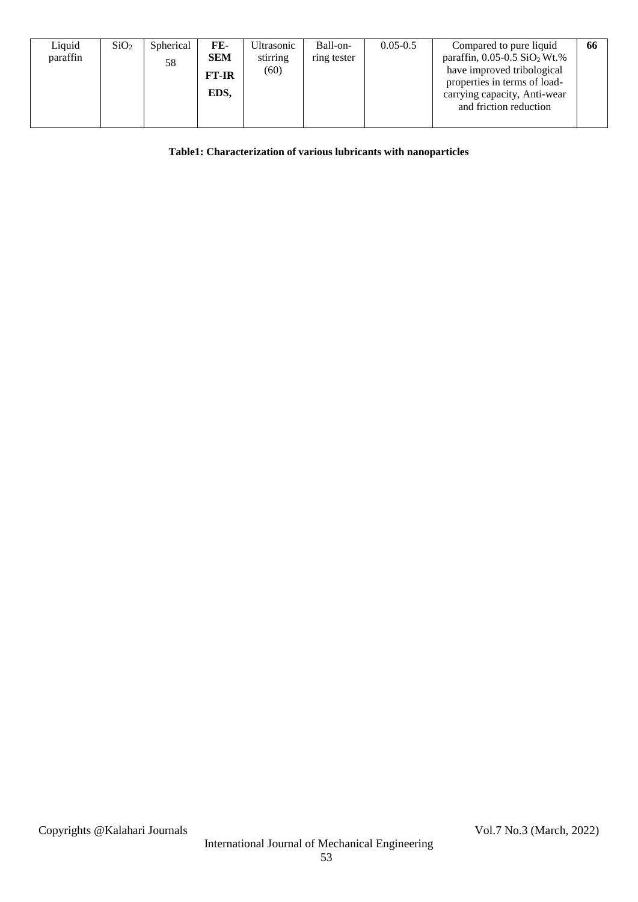| Liquid   | SiO <sub>2</sub> | Spherical | FE-          | Ultrasonic | Ball-on-    | $0.05 - 0.5$ | Compared to pure liquid                      | 66 |
|----------|------------------|-----------|--------------|------------|-------------|--------------|----------------------------------------------|----|
| paraffin |                  | 58        | <b>SEM</b>   | stirring   | ring tester |              | paraffin, $0.05 - 0.5$ SiO <sub>2</sub> Wt.% |    |
|          |                  |           | <b>FT-IR</b> | (60)       |             |              | have improved tribological                   |    |
|          |                  |           |              |            |             |              | properties in terms of load-                 |    |
|          |                  |           | EDS,         |            |             |              | carrying capacity, Anti-wear                 |    |
|          |                  |           |              |            |             |              | and friction reduction                       |    |
|          |                  |           |              |            |             |              |                                              |    |
|          |                  |           |              |            |             |              |                                              |    |

## **Table1: Characterization of various lubricants with nanoparticles**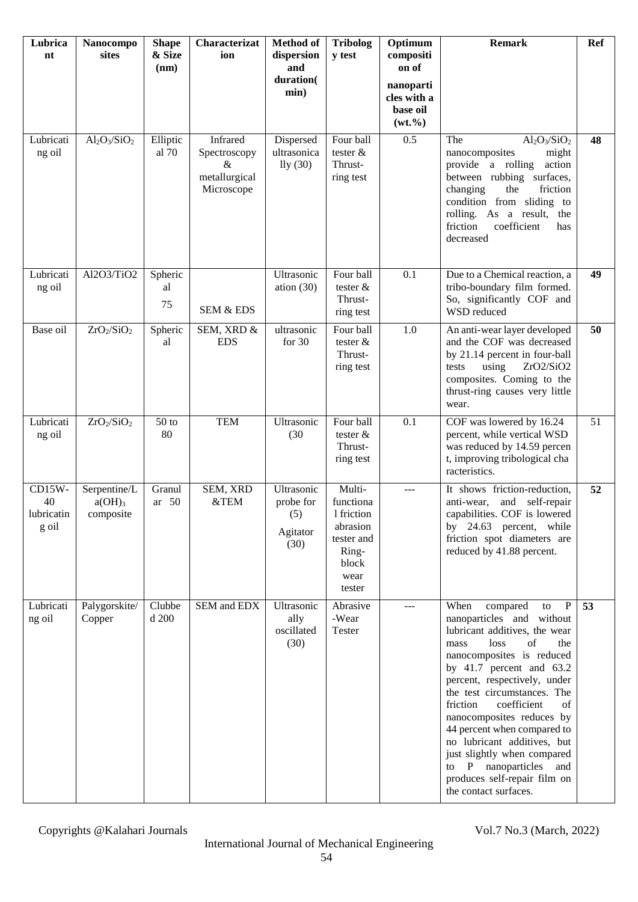| Lubrica<br>nt                                  | Nanocompo<br>sites                     | <b>Shape</b><br>& Size<br>(nm) | Characterizat<br>ion                                         | <b>Method</b> of<br>dispersion<br>and<br>duration(<br>min) | <b>Tribolog</b><br>y test                                                                       | Optimum<br>compositi<br>on of<br>nanoparti<br>cles with a<br>base oil<br>$(wt. \% )$ | <b>Remark</b>                                                                                                                                                                                                                                                                                                                                                                                                                                                                                               | <b>Ref</b> |
|------------------------------------------------|----------------------------------------|--------------------------------|--------------------------------------------------------------|------------------------------------------------------------|-------------------------------------------------------------------------------------------------|--------------------------------------------------------------------------------------|-------------------------------------------------------------------------------------------------------------------------------------------------------------------------------------------------------------------------------------------------------------------------------------------------------------------------------------------------------------------------------------------------------------------------------------------------------------------------------------------------------------|------------|
| Lubricati<br>ng oil                            | $Al_2O_3/SiO_2$                        | Elliptic<br>al 70              | Infrared<br>Spectroscopy<br>&<br>metallurgical<br>Microscope | Dispersed<br>ultrasonica<br>lly(30)                        | Four ball<br>tester $&$<br>Thrust-<br>ring test                                                 | 0.5                                                                                  | $Al_2O_3/SiO_2$<br>The<br>nanocomposites<br>might<br>provide a rolling<br>action<br>between rubbing surfaces,<br>changing<br>friction<br>the<br>condition from sliding to<br>rolling. As a result,<br>the<br>friction<br>coefficient<br>has<br>decreased                                                                                                                                                                                                                                                    | 48         |
| Lubricati<br>ng oil                            | Al2O3/TiO2                             | Spheric<br>al<br>75            | SEM & EDS                                                    | Ultrasonic<br>ation $(30)$                                 | Four ball<br>tester $&$<br>Thrust-<br>ring test                                                 | 0.1                                                                                  | Due to a Chemical reaction, a<br>tribo-boundary film formed.<br>So, significantly COF and<br>WSD reduced                                                                                                                                                                                                                                                                                                                                                                                                    | 49         |
| Base oil                                       | ZrO <sub>2</sub> /SiO <sub>2</sub>     | Spheric<br>al                  | SEM, XRD &<br><b>EDS</b>                                     | ultrasonic<br>for 30                                       | Four ball<br>tester $&$<br>Thrust-<br>ring test                                                 | 1.0                                                                                  | An anti-wear layer developed<br>and the COF was decreased<br>by 21.14 percent in four-ball<br>using<br>ZrO2/SiO2<br>tests<br>composites. Coming to the<br>thrust-ring causes very little<br>wear.                                                                                                                                                                                                                                                                                                           | 50         |
| Lubricati<br>ng oil                            | $ZrO_2/SiO_2$                          | $50$ to<br>80                  | <b>TEM</b>                                                   | Ultrasonic<br>(30)                                         | Four ball<br>tester $&$<br>Thrust-<br>ring test                                                 | 0.1                                                                                  | COF was lowered by 16.24<br>percent, while vertical WSD<br>was reduced by 14.59 percen<br>t, improving tribological cha<br>racteristics.                                                                                                                                                                                                                                                                                                                                                                    | 51         |
| $CD15W -$<br>40<br>lubricatin $\vert$<br>g oil | Serpentine/L<br>$a(OH)_3$<br>composite | Granul<br>ar 50                | SEM, XRD<br>&TEM                                             | Ultrasonic<br>probe for<br>(5)<br>Agitator<br>(30)         | Multi-<br>functiona<br>1 friction<br>abrasion<br>tester and<br>Ring-<br>block<br>wear<br>tester | $---$                                                                                | It shows friction-reduction,<br>anti-wear, and self-repair<br>capabilities. COF is lowered<br>by 24.63 percent, while<br>friction spot diameters are<br>reduced by 41.88 percent.                                                                                                                                                                                                                                                                                                                           | 52         |
| Lubricati<br>ng oil                            | Palygorskite/<br>Copper                | Clubbe<br>d 200                | <b>SEM</b> and <b>EDX</b>                                    | Ultrasonic<br>ally<br>oscillated<br>(30)                   | Abrasive<br>-Wear<br>Tester                                                                     |                                                                                      | When<br>compared<br>$\mathbf{P}$<br>to<br>nanoparticles and without<br>lubricant additives, the wear<br>loss<br>of<br>the<br>mass<br>nanocomposites is reduced<br>by $41.7$ percent and $63.2$<br>percent, respectively, under<br>the test circumstances. The<br>coefficient<br>friction<br>of<br>nanocomposites reduces by<br>44 percent when compared to<br>no lubricant additives, but<br>just slightly when compared<br>to P nanoparticles and<br>produces self-repair film on<br>the contact surfaces. | 53         |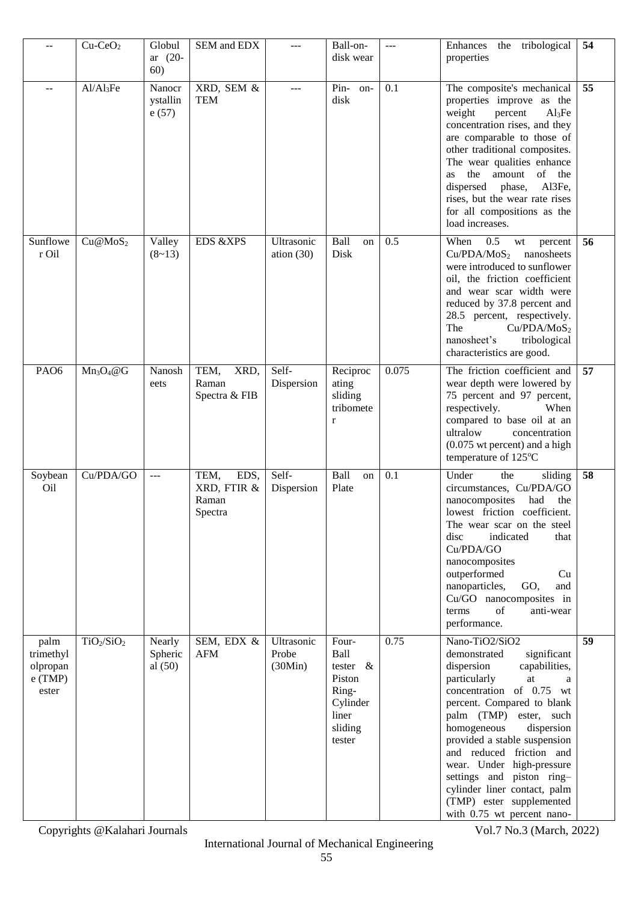| --                                                  | $Cu-CeO2$                          | Globul<br>ar $(20-$<br>60)     | SEM and EDX                                     |                                | Ball-on-<br>disk wear                                                                     | $\overline{a}$ | Enhances the<br>tribological<br>properties                                                                                                                                                                                                                                                                                                                                                                                               | 54 |
|-----------------------------------------------------|------------------------------------|--------------------------------|-------------------------------------------------|--------------------------------|-------------------------------------------------------------------------------------------|----------------|------------------------------------------------------------------------------------------------------------------------------------------------------------------------------------------------------------------------------------------------------------------------------------------------------------------------------------------------------------------------------------------------------------------------------------------|----|
| $-1$                                                | Al/Al <sub>3</sub> Fe              | Nanocr<br>ystallin<br>e(57)    | XRD, SEM &<br><b>TEM</b>                        | ---                            | $Pin-$<br>on-<br>disk                                                                     | 0.1            | The composite's mechanical<br>properties improve as the<br>percent<br>weight<br>Al <sub>3</sub> Fe<br>concentration rises, and they<br>are comparable to those of<br>other traditional composites.<br>The wear qualities enhance<br>the<br>of the<br>amount<br>as<br>phase,<br>Al3Fe,<br>dispersed<br>rises, but the wear rate rises<br>for all compositions as the<br>load increases.                                                   | 55 |
| Sunflowe<br>r Oil                                   | Cu@MoS <sub>2</sub>                | Valley<br>$(8-13)$             | <b>EDS &amp;XPS</b>                             | Ultrasonic<br>ation $(30)$     | Ball<br>on<br>Disk                                                                        | 0.5            | 0.5<br>When<br>wt<br>percent<br>Cu/PDA/MoS <sub>2</sub><br>nanosheets<br>were introduced to sunflower<br>oil, the friction coefficient<br>and wear scar width were<br>reduced by 37.8 percent and<br>28.5 percent, respectively.<br>The<br>Cu/PDA/MoS <sub>2</sub><br>nanosheet's<br>tribological<br>characteristics are good.                                                                                                           | 56 |
| PAO <sub>6</sub>                                    | $Mn_3O_4@G$                        | Nanosh<br>eets                 | TEM,<br>XRD,<br>Raman<br>Spectra & FIB          | Self-<br>Dispersion            | Reciproc<br>ating<br>sliding<br>tribomete<br>$\mathbf{r}$                                 | 0.075          | The friction coefficient and<br>wear depth were lowered by<br>75 percent and 97 percent,<br>respectively.<br>When<br>compared to base oil at an<br>ultralow<br>concentration<br>$(0.075 \text{ wt percent})$ and a high<br>temperature of 125°C                                                                                                                                                                                          | 57 |
| Soybean<br>O <sub>il</sub>                          | Cu/PDA/GO                          | $ -$                           | EDS,<br>TEM,<br>XRD, FTIR &<br>Raman<br>Spectra | Self-<br>Dispersion            | Ball<br>on<br>Plate                                                                       | 0.1            | Under<br>the<br>sliding<br>circumstances, Cu/PDA/GO<br>nanocomposites<br>had<br>the<br>lowest friction coefficient.<br>The wear scar on the steel<br>disc<br>indicated<br>that<br>Cu/PDA/GO<br>nanocomposites<br>outperformed<br>Cu<br>nanoparticles,<br>GO,<br>and<br>Cu/GO nanocomposites in<br>of<br>terms<br>anti-wear<br>performance.                                                                                               | 58 |
| palm<br>trimethyl<br>olpropan<br>$e$ (TMP)<br>ester | TiO <sub>2</sub> /SiO <sub>2</sub> | Nearly<br>Spheric<br>al $(50)$ | SEM, EDX &<br><b>AFM</b>                        | Ultrasonic<br>Probe<br>(30Min) | Four-<br>Ball<br>tester $\&$<br>Piston<br>Ring-<br>Cylinder<br>liner<br>sliding<br>tester | 0.75           | Nano-TiO2/SiO2<br>significant<br>demonstrated<br>dispersion<br>capabilities,<br>particularly<br>at<br>a<br>concentration of 0.75 wt<br>percent. Compared to blank<br>palm (TMP) ester, such<br>homogeneous<br>dispersion<br>provided a stable suspension<br>and reduced friction and<br>wear. Under high-pressure<br>settings and piston ring-<br>cylinder liner contact, palm<br>(TMP) ester supplemented<br>with 0.75 wt percent nano- | 59 |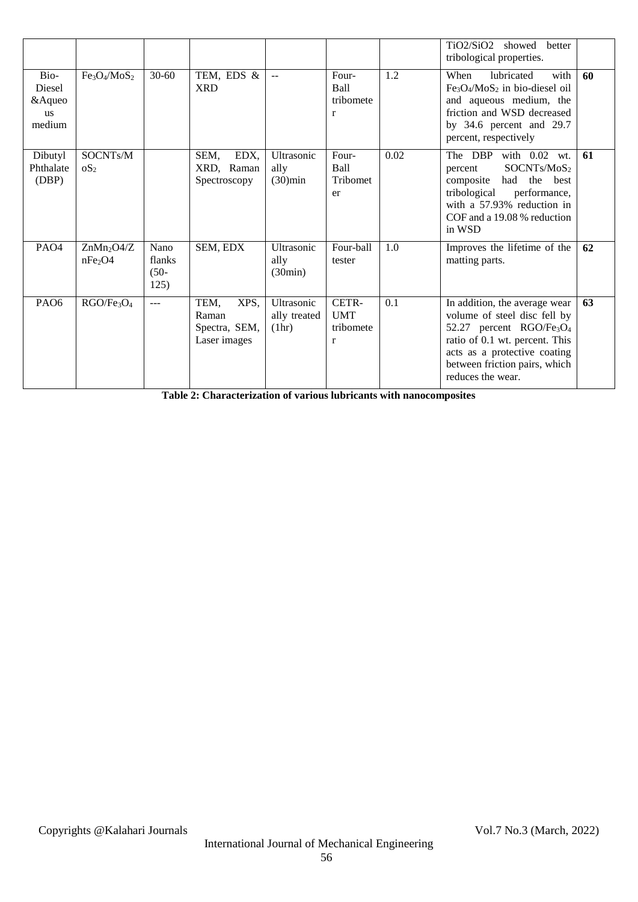|                                           |                                                  |                                   |                                                        |                                     |                                                  |      | TiO2/SiO2<br>showed<br>better<br>tribological properties.                                                                                                                                                                                 |    |
|-------------------------------------------|--------------------------------------------------|-----------------------------------|--------------------------------------------------------|-------------------------------------|--------------------------------------------------|------|-------------------------------------------------------------------------------------------------------------------------------------------------------------------------------------------------------------------------------------------|----|
| Bio-<br>Diesel<br>& Aqueo<br>us<br>medium | Fe <sub>3</sub> O <sub>4</sub> /MoS <sub>2</sub> | $30 - 60$                         | TEM, EDS &<br><b>XRD</b>                               | $\sim$                              | Four-<br>Ball<br>tribomete<br>$\mathbf r$        | 1.2  | lubricated<br>with<br>When<br>$Fe3O4/MoS2$ in bio-diesel oil<br>and aqueous medium, the<br>friction and WSD decreased<br>by 34.6 percent and 29.7<br>percent, respectively                                                                | 60 |
| Dibutyl<br>Phthalate<br>(DBP)             | SOCNTs/M<br>OS <sub>2</sub>                      |                                   | SEM,<br>EDX,<br>XRD, Raman<br>Spectroscopy             | Ultrasonic<br>ally<br>$(30)$ min    | Four-<br>Ball<br>Tribomet<br>er                  | 0.02 | The DBP<br>with 0.02 wt.<br>SOCNTs/MoS <sub>2</sub><br>percent<br>the<br>composite<br>had<br>best<br>tribological<br>performance,<br>with a 57.93% reduction in<br>COF and a 19.08 % reduction<br>in WSD                                  | 61 |
| PAO <sub>4</sub>                          | $ZnMn_2O4/Z$<br>nFe <sub>2</sub> O4              | Nano<br>flanks<br>$(50 -$<br>125) | SEM, EDX                                               | Ultrasonic<br>ally<br>(30min)       | Four-ball<br>tester                              | 1.0  | Improves the lifetime of the<br>matting parts.                                                                                                                                                                                            | 62 |
| PA <sub>O6</sub>                          | RGO/Fe <sub>3</sub> O <sub>4</sub>               | $---$                             | TEM,<br>XPS,<br>Raman<br>Spectra, SEM,<br>Laser images | Ultrasonic<br>ally treated<br>(1hr) | CETR-<br><b>UMT</b><br>tribomete<br>$\mathbf{r}$ | 0.1  | In addition, the average wear<br>volume of steel disc fell by<br>52.27 percent RGO/Fe <sub>3</sub> O <sub>4</sub><br>ratio of 0.1 wt. percent. This<br>acts as a protective coating<br>between friction pairs, which<br>reduces the wear. | 63 |

**Table 2: Characterization of various lubricants with nanocomposites**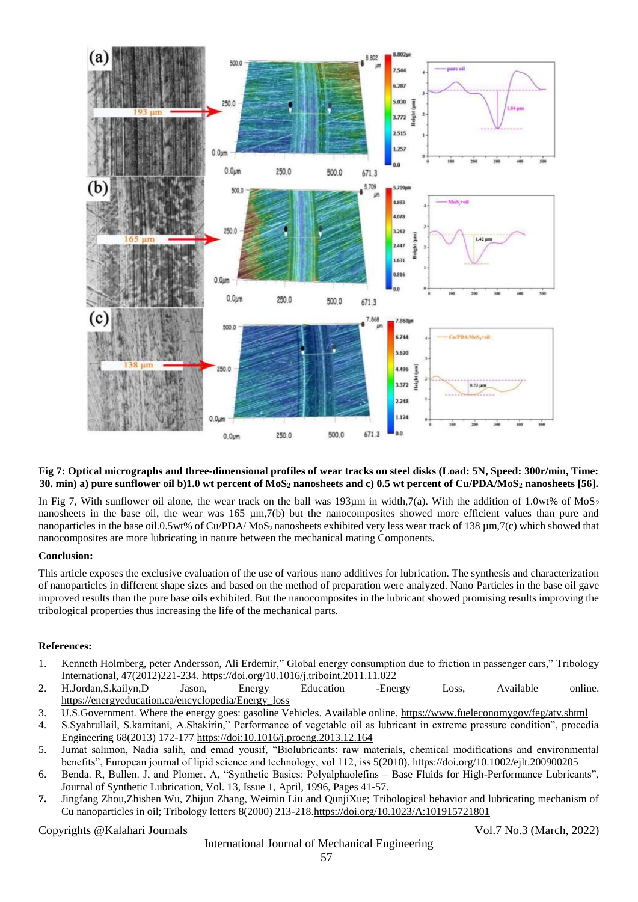

#### **Fig 7: Optical micrographs and three-dimensional profiles of wear tracks on steel disks (Load: 5N, Speed: 300r/min, Time: 30. min) a) pure sunflower oil b)1.0 wt percent of MoS<sup>2</sup> nanosheets and c) 0.5 wt percent of Cu/PDA/MoS<sup>2</sup> nanosheets [56].**

In Fig 7, With sunflower oil alone, the wear track on the ball was 193um in width,  $7(a)$ . With the addition of 1.0wt% of MoS<sub>2</sub> nanosheets in the base oil, the wear was  $165 \mu m$ ,  $7(b)$  but the nanocomposites showed more efficient values than pure and nanoparticles in the base oil.0.5wt% of Cu/PDA/ MoS<sub>2</sub> nanosheets exhibited very less wear track of 138  $\mu$ m,7(c) which showed that nanocomposites are more lubricating in nature between the mechanical mating Components.

#### **Conclusion:**

This article exposes the exclusive evaluation of the use of various nano additives for lubrication. The synthesis and characterization of nanoparticles in different shape sizes and based on the method of preparation were analyzed. Nano Particles in the base oil gave improved results than the pure base oils exhibited. But the nanocomposites in the lubricant showed promising results improving the tribological properties thus increasing the life of the mechanical parts.

#### **References:**

- 1. Kenneth Holmberg, peter Andersson, Ali Erdemir," Global energy consumption due to friction in passenger cars," Tribology International, 47(2012)221-234.<https://doi.org/10.1016/j.triboint.2011.11.022>
- 2. H.Jordan,S.kailyn,D Jason, Energy Education -Energy Loss, Available online. [https://energyeducation.ca/encyclopedia/Energy\\_loss](https://energyeducation.ca/encyclopedia/Energy_loss)
- 3. U.S.Government. Where the energy goes: gasoline Vehicles. Available online.<https://www.fueleconomygov/feg/atv.shtml>
- 4. S.Syahrullail, S.kamitani, A.Shakirin," Performance of vegetable oil as lubricant in extreme pressure condition", procedia Engineering 68(2013) 172-17[7 https://doi:10.1016/j.proeng.2013.12.164](https://doi:10.1016/j.proeng.2013.12.164)
- 5. Jumat salimon, Nadia salih, and emad yousif, "Biolubricants: raw materials, chemical modifications and environmental benefits", European journal of lipid science and technology, vol 112, iss 5(2010).<https://doi.org/10.1002/ejlt.200900205>
- 6. Benda. R, Bullen. J, and Plomer. A, "Synthetic Basics: Polyalphaolefins Base Fluids for High-Performance Lubricants", Journal of Synthetic Lubrication, Vol. 13, Issue 1, April, 1996, Pages 41-57.
- **7.** Jingfang Zhou,Zhishen Wu, Zhijun Zhang, Weimin Liu and QunjiXue; Tribological behavior and lubricating mechanism of Cu nanoparticles in oil; Tribology letters 8(2000) 213-218[.https://doi.org/10.1023/A:101915721801](https://doi.org/10.1023/A:101915721801)

Copyrights @Kalahari Journals Vol.7 No.3 (March, 2022)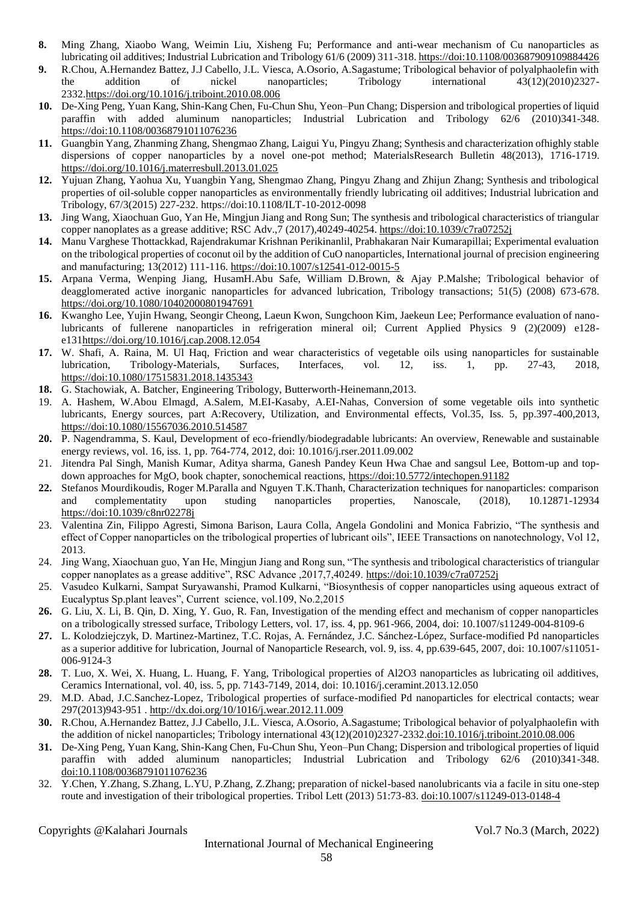- **8.** Ming Zhang, Xiaobo Wang, Weimin Liu, Xisheng Fu; Performance and anti-wear mechanism of Cu nanoparticles as lubricating oil additives; Industrial Lubrication and Tribology 61/6 (2009) 311-318[. https://doi:10.1108/003687909109884426](https://doi:10.1108/003687909109884426)
- **9.** R.Chou, A.Hernandez Battez, J.J Cabello, J.L. Viesca, A.Osorio, A.Sagastume; Tribological behavior of polyalphaolefin with the addition of nickel nanoparticles; Tribology international 43(12)(2010)2327- 2332[.https://doi.org/10.1016/j.triboint.2010.08.006](https://doi.org/10.1016/j.triboint.2010.08.006)
- **10.** De-Xing Peng, Yuan Kang, Shin-Kang Chen, Fu-Chun Shu, Yeon–Pun Chang; Dispersion and tribological properties of liquid paraffin with added aluminum nanoparticles; Industrial Lubrication and Tribology 62/6 (2010)341-348. <https://doi:10.1108/00368791011076236>
- **11.** Guangbin Yang, Zhanming Zhang, Shengmao Zhang, Laigui Yu, Pingyu Zhang; Synthesis and characterization ofhighly stable dispersions of copper nanoparticles by a novel one-pot method; MaterialsResearch Bulletin 48(2013), 1716-1719. <https://doi.org/10.1016/j.materresbull.2013.01.025>
- **12.** Yujuan Zhang, Yaohua Xu, Yuangbin Yang, Shengmao Zhang, Pingyu Zhang and Zhijun Zhang; Synthesis and tribological properties of oil-soluble copper nanoparticles as environmentally friendly lubricating oil additives; Industrial lubrication and Tribology, 67/3(2015) 227-232. https://doi:10.1108/ILT-10-2012-0098
- **13.** Jing Wang, Xiaochuan Guo, Yan He, Mingjun Jiang and Rong Sun; The synthesis and tribological characteristics of triangular copper nanoplates as a grease additive; RSC Adv.,7 (2017),40249-40254.<https://doi:10.1039/c7ra07252j>
- **14.** Manu Varghese Thottackkad, Rajendrakumar Krishnan Perikinanlil, Prabhakaran Nair Kumarapillai; Experimental evaluation on the tribological properties of coconut oil by the addition of CuO nanoparticles, International journal of precision engineering and manufacturing; 13(2012) 111-116.<https://doi:10.1007/s12541-012-0015-5>
- **15.** Arpana Verma, Wenping Jiang, HusamH.Abu Safe, William D.Brown, & Ajay P.Malshe; Tribological behavior of deagglomerated active inorganic nanoparticles for advanced lubrication, Tribology transactions; 51(5) (2008) 673-678. <https://doi.org/10.1080/10402000801947691>
- **16.** Kwangho Lee, Yujin Hwang, Seongir Cheong, Laeun Kwon, Sungchoon Kim, Jaekeun Lee; Performance evaluation of nanolubricants of fullerene nanoparticles in refrigeration mineral oil; Current Applied Physics 9 (2)(2009) e128 e13[1https://doi.org/10.1016/j.cap.2008.12.054](https://doi.org/10.1016/j.cap.2008.12.054)
- **17.** W. Shafi, A. Raina, M. Ul Haq, Friction and wear characteristics of vegetable oils using nanoparticles for sustainable lubrication, Tribology-Materials, Surfaces, Interfaces, vol. 12, iss. 1, pp. 27-43, 2018, <https://doi:10.1080/17515831.2018.1435343>
- **18.** G. Stachowiak, A. Batcher, Engineering Tribology, Butterworth-Heinemann,2013.
- 19. A. Hashem, W.Abou Elmagd, A.Salem, M.EI-Kasaby, A.EI-Nahas, Conversion of some vegetable oils into synthetic lubricants, Energy sources, part A:Recovery, Utilization, and Environmental effects, Vol.35, Iss. 5, pp.397-400,2013, <https://doi:10.1080/15567036.2010.514587>
- **20.** P. Nagendramma, S. Kaul, Development of eco-friendly/biodegradable lubricants: An overview, Renewable and sustainable energy reviews, vol. 16, iss. 1, pp. 764-774, 2012, doi: 10.1016/j.rser.2011.09.002
- 21. Jitendra Pal Singh, Manish Kumar, Aditya sharma, Ganesh Pandey Keun Hwa Chae and sangsul Lee, Bottom-up and topdown approaches for MgO, book chapter, sonochemical reactions,<https://doi:10.5772/intechopen.91182>
- **22.** Stefanos Mourdikoudis, Roger M.Paralla and Nguyen T.K.Thanh, Characterization techniques for nanoparticles: comparison and complementatity upon studing nanoparticles properties, Nanoscale, (2018), 10.12871-12934 <https://doi:10.1039/c8nr02278j>
- 23. Valentina Zin, Filippo Agresti, Simona Barison, Laura Colla, Angela Gondolini and Monica Fabrizio, "The synthesis and effect of Copper nanoparticles on the tribological properties of lubricant oils", IEEE Transactions on nanotechnology, Vol 12, 2013.
- 24. Jing Wang, Xiaochuan guo, Yan He, Mingjun Jiang and Rong sun, "The synthesis and tribological characteristics of triangular copper nanoplates as a grease additive", RSC Advance ,2017,7,40249[. https://doi:10.1039/c7ra07252j](https://doi:10.1039/c7ra07252j)
- 25. Vasudeo Kulkarni, Sampat Suryawanshi, Pramod Kulkarni, "Biosynthesis of copper nanoparticles using aqueous extract of Eucalyptus Sp.plant leaves", Current science, vol.109, No.2,2015
- **26.** G. Liu, X. Li, B. Qin, D. Xing, Y. Guo, R. Fan, Investigation of the mending effect and mechanism of copper nanoparticles on a tribologically stressed surface, Tribology Letters, vol. 17, iss. 4, pp. 961-966, 2004, doi: 10.1007/s11249-004-8109-6
- **27.** L. Kolodziejczyk, D. Martinez-Martinez, T.C. Rojas, A. Fernández, J.C. Sánchez-López, Surface-modified Pd nanoparticles as a superior additive for lubrication, Journal of Nanoparticle Research, vol. 9, iss. 4, pp.639-645, 2007, doi: 10.1007/s11051- 006-9124-3
- **28.** T. Luo, X. Wei, X. Huang, L. Huang, F. Yang, Tribological properties of Al2O3 nanoparticles as lubricating oil additives, Ceramics International, vol. 40, iss. 5, pp. 7143-7149, 2014, doi: 10.1016/j.ceramint.2013.12.050
- 29. M.D. Abad, J.C.Sanchez-Lopez, Tribological properties of surface-modified Pd nanoparticles for electrical contacts; wear 297(2013)943-951 .<http://dx.doi.org/10/1016/j.wear.2012.11.009>
- **30.** R.Chou, A.Hernandez Battez, J.J Cabello, J.L. Viesca, A.Osorio, A.Sagastume; Tribological behavior of polyalphaolefin with the addition of nickel nanoparticles; Tribology international 43(12)(2010)2327-2332[.doi:10.1016/j.triboint.2010.08.006](https://doi.org/10.1016/j.triboint.2010.08.006)
- **31.** De-Xing Peng, Yuan Kang, Shin-Kang Chen, Fu-Chun Shu, Yeon–Pun Chang; Dispersion and tribological properties of liquid paraffin with added aluminum nanoparticles; Industrial Lubrication and Tribology 62/6 (2010)341-348. [doi:10.1108/00368791011076236](https://doi:10.1108/00368791011076236)
- 32. Y.Chen, Y.Zhang, S.Zhang, L.YU, P.Zhang, Z.Zhang; preparation of nickel-based nanolubricants via a facile in situ one-step route and investigation of their tribological properties. Tribol Lett (2013) 51:73-83. doi:10.1007/s11249-013-0148-4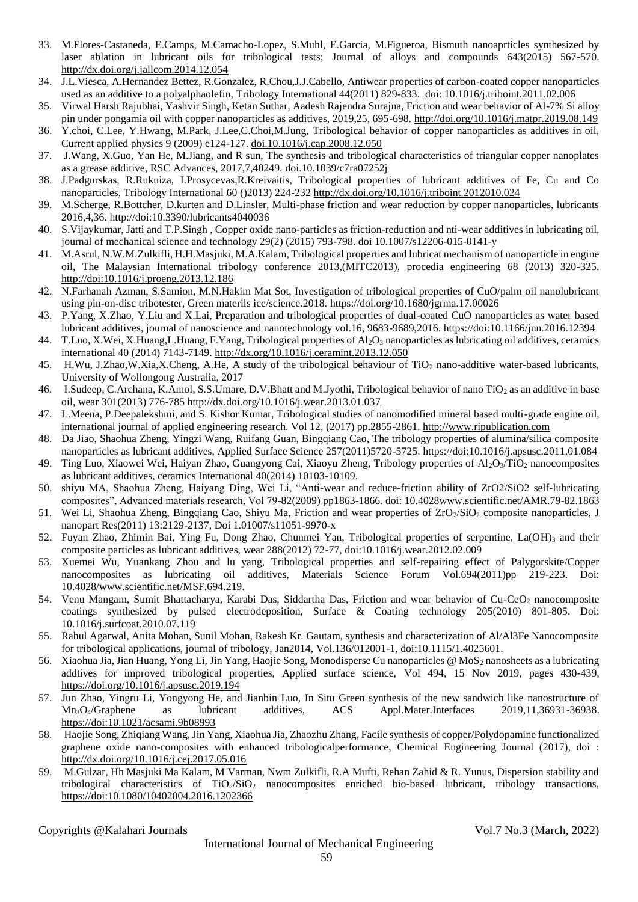- 33. M.Flores-Castaneda, E.Camps, M.Camacho-Lopez, S.Muhl, E.Garcia, M.Figueroa, Bismuth nanoaprticles synthesized by laser ablation in lubricant oils for tribological tests; Journal of alloys and compounds 643(2015) 567-570. <http://dx.doi.org/j.jallcom.2014.12.054>
- 34. J.L.Viesca, A.Hernandez Bettez, R.Gonzalez, R.Chou,J.J.Cabello, Antiwear properties of carbon-coated copper nanoparticles used as an additive to a polyalphaolefin, Tribology International 44(2011) 829-833. [doi: 10.1016/j.triboint.2011.02.006](http://doi:10.1016/j.triboint.2011.02.006)
- 35. Virwal Harsh Rajubhai, Yashvir Singh, Ketan Suthar, Aadesh Rajendra Surajna, Friction and wear behavior of Al-7% Si alloy pin under pongamia oil with copper nanoparticles as additives, 2019,25, 695-698[. http://doi.org/10.1016/j.matpr.2019.08.149](http://doi.org/10.1016/j.matpr.2019.08.149)
- 36. Y.choi, C.Lee, Y.Hwang, M.Park, J.Lee,C.Choi,M.Jung, Tribological behavior of copper nanoparticles as additives in oil, Current applied physics 9 (2009) e124-127. [doi.10.1016/j.cap.2008.12.050](http://doi.10.1016/j.cap.2008.12.050)
- 37. J.Wang, X.Guo, Yan He, M.Jiang, and R sun, The synthesis and tribological characteristics of triangular copper nanoplates as a grease additive, RSC Advances, 2017,7,40249. [doi.10.1039/c7ra07252j](http://doi.10.1039/c7ra07252j)
- 38. J.Padgurskas, R.Rukuiza, I.Prosycevas,R.Kreivaitis, Tribological properties of lubricant additives of Fe, Cu and Co nanoparticles, Tribology International 60 ()2013) 224-23[2 http://dx.doi.org/10.1016/j.triboint.2012010.024](http://dx.doi.org/10.1016/j.triboint.2012010.024)
- 39. M.Scherge, R.Bottcher, D.kurten and D.Linsler, Multi-phase friction and wear reduction by copper nanoparticles, lubricants 2016,4,36. <http://doi:10.3390/lubricants4040036>
- 40. S.Vijaykumar, Jatti and T.P.Singh , Copper oxide nano-particles as friction-reduction and nti-wear additives in lubricating oil, journal of mechanical science and technology 29(2) (2015) 793-798. doi 10.1007/s12206-015-0141-y
- 41. M.Asrul, N.W.M.Zulkifli, H.H.Masjuki, M.A.Kalam, Tribological properties and lubricat mechanism of nanoparticle in engine oil, The Malaysian International tribology conference 2013,(MITC2013), procedia engineering 68 (2013) 320-325. <http://doi:10.1016/j.proeng.2013.12.186>
- 42. N.Farhanah Azman, S.Samion, M.N.Hakim Mat Sot, Investigation of tribological properties of CuO/palm oil nanolubricant using pin-on-disc tribotester, Green materils ice/science.2018.<https://doi.org/10.1680/jgrma.17.00026>
- 43. P.Yang, X.Zhao, Y.Liu and X.Lai, Preparation and tribological properties of dual-coated CuO nanoparticles as water based lubricant additives, journal of nanoscience and nanotechnology vol.16, 9683-9689,2016.<https://doi:10.1166/jnn.2016.12394>
- 44. T.Luo, X.Wei, X.Huang,L.Huang, F.Yang, Tribological properties of  $A_1O_3$  nanoparticles as lubricating oil additives, ceramics international 40 (2014) 7143-7149[. http://dx.org/10.1016/j.ceramint.2013.12.050](http://dx.org/10.1016/j.ceramint.2013.12.050)
- 45. H.Wu, J.Zhao,W.Xia,X.Cheng, A.He, A study of the tribological behaviour of TiO<sup>2</sup> nano-additive water-based lubricants, University of Wollongong Australia, 2017
- 46. I.Sudeep, C.Archana, K.Amol, S.S.Umare, D.V.Bhatt and M.Jyothi, Tribological behavior of nano TiO<sub>2</sub> as an additive in base oil, wear 301(2013) 776-785<http://dx.doi.org/10.1016/j.wear.2013.01.037>
- 47. L.Meena, P.Deepalekshmi, and S. Kishor Kumar, Tribological studies of nanomodified mineral based multi-grade engine oil, international journal of applied engineering research. Vol 12, (2017) pp.2855-2861[. http://www.ripublication.com](http://www.ripublication.com/)
- 48. Da Jiao, Shaohua Zheng, Yingzi Wang, Ruifang Guan, Bingqiang Cao, The tribology properties of alumina/silica composite nanoparticles as lubricant additives, Applied Surface Science 257(2011)5720-5725[. https://doi:10.1016/j.apsusc.2011.01.084](https://doi:10.1016/j.apsusc.2011.01.084)
- 49. Ting Luo, Xiaowei Wei, Haiyan Zhao, Guangyong Cai, Xiaoyu Zheng, Tribology properties of Al<sub>2</sub>O<sub>3</sub>/TiO<sub>2</sub> nanocomposites as lubricant additives, ceramics International 40(2014) 10103-10109.
- 50. shiyu MA, Shaohua Zheng, Haiyang Ding, Wei Li, "Anti-wear and reduce-friction ability of ZrO2/SiO2 self-lubricating composites", Advanced materials research, Vol 79-82(2009) pp1863-1866. doi: 10.4028www.scientific.net/AMR.79-82.1863
- 51. Wei Li, Shaohua Zheng, Bingqiang Cao, Shiyu Ma, Friction and wear properties of ZrO<sub>2</sub>/SiO<sub>2</sub> composite nanoparticles, J nanopart Res(2011) 13:2129-2137, Doi 1.01007/s11051-9970-x
- 52. Fuyan Zhao, Zhimin Bai, Ying Fu, Dong Zhao, Chunmei Yan, Tribological properties of serpentine,  $La(OH)$ <sub>3</sub> and their composite particles as lubricant additives, wear 288(2012) 72-77, doi:10.1016/j.wear.2012.02.009
- 53. Xuemei Wu, Yuankang Zhou and lu yang, Tribological properties and self-repairing effect of Palygorskite/Copper nanocomposites as lubricating oil additives, Materials Science Forum Vol.694(2011)pp 219-223. Doi: 10.4028/www.scientific.net/MSF.694.219.
- 54. Venu Mangam, Sumit Bhattacharya, Karabi Das, Siddartha Das, Friction and wear behavior of Cu-CeO<sub>2</sub> nanocomposite coatings synthesized by pulsed electrodeposition, Surface & Coating technology 205(2010) 801-805. Doi: 10.1016/j.surfcoat.2010.07.119
- 55. Rahul Agarwal, Anita Mohan, Sunil Mohan, Rakesh Kr. Gautam, synthesis and characterization of Al/Al3Fe Nanocomposite for tribological applications, journal of tribology, Jan2014, Vol.136/012001-1, doi:10.1115/1.4025601.
- 56. Xiaohua Jia, Jian Huang, Yong Li, Jin Yang, Haojie Song, Monodisperse Cu nanoparticles @ MoS<sub>2</sub> nanosheets as a lubricating addtives for improved tribological properties, Applied surface science, Vol 494, 15 Nov 2019, pages 430-439, <https://doi.org/10.1016/j.apsusc.2019.194>
- 57. Jun Zhao, Yingru Li, Yongyong He, and Jianbin Luo, In Situ Green synthesis of the new sandwich like nanostructure of Mn3O4/Graphene as lubricant additives, ACS Appl.Mater.Interfaces 2019,11,36931-36938. <https://doi:10.1021/acsami.9b08993>
- 58. Haojie Song, Zhiqiang Wang, Jin Yang, Xiaohua Jia, Zhaozhu Zhang, Facile synthesis of copper/Polydopamine functionalized graphene oxide nano-composites with enhanced tribologicalperformance, Chemical Engineering Journal (2017), doi : <http://dx.doi.org/10.1016/j.cej.2017.05.016>
- 59. M.Gulzar, Hh Masjuki Ma Kalam, M Varman, Nwm Zulkifli, R.A Mufti, Rehan Zahid & R. Yunus, Dispersion stability and tribological characteristics of  $TiO<sub>2</sub>/SiO<sub>2</sub>$  nanocomposites enriched bio-based lubricant, tribology transactions, <https://doi:10.1080/10402004.2016.1202366>